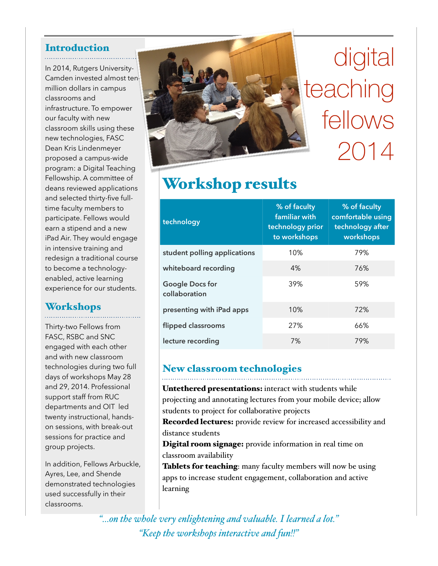## Introduction

In 2014, Rutgers University-Camden invested almost tenmillion dollars in campus classrooms and infrastructure. To empower our faculty with new classroom skills using these new technologies, FASC Dean Kris Lindenmeyer proposed a campus-wide program: a Digital Teaching Fellowship. A committee of deans reviewed applications and selected thirty-five fulltime faculty members to participate. Fellows would earn a stipend and a new iPad Air. They would engage in intensive training and redesign a traditional course to become a technologyenabled, active learning experience for our students.

## Workshops

Thirty-two Fellows from FASC, RSBC and SNC engaged with each other and with new classroom technologies during two full days of workshops May 28 and 29, 2014. Professional support staff from RUC departments and OIT led twenty instructional, handson sessions, with break-out sessions for practice and group projects.

In addition, Fellows Arbuckle, Ayres, Lee, and Shende demonstrated technologies used successfully in their classrooms.



# digital teaching fellows 2014

## Workshop results

| technology                              | % of faculty<br>familiar with<br>technology prior<br>to workshops | % of faculty<br>comfortable using<br>technology after<br>workshops |
|-----------------------------------------|-------------------------------------------------------------------|--------------------------------------------------------------------|
| student polling applications            | 10%                                                               | 79%                                                                |
| whiteboard recording                    | 4%                                                                | 76%                                                                |
| <b>Google Docs for</b><br>collaboration | 39%                                                               | 59%                                                                |
| presenting with iPad apps               | 10%                                                               | 72%                                                                |
| flipped classrooms                      | 27%                                                               | 66%                                                                |
| lecture recording                       | 7%                                                                | 79%                                                                |

### New classroom technologies

Untethered presentations: interact with students while projecting and annotating lectures from your mobile device; allow students to project for collaborative projects

Recorded lectures: provide review for increased accessibility and distance students

Digital room signage: provide information in real time on classroom availability

Tablets for teaching: many faculty members will now be using apps to increase student engagement, collaboration and active learning

*"…on the whole very enlightening and valuable. I learned a lot." "Keep the workshops interactive and fun!!"*